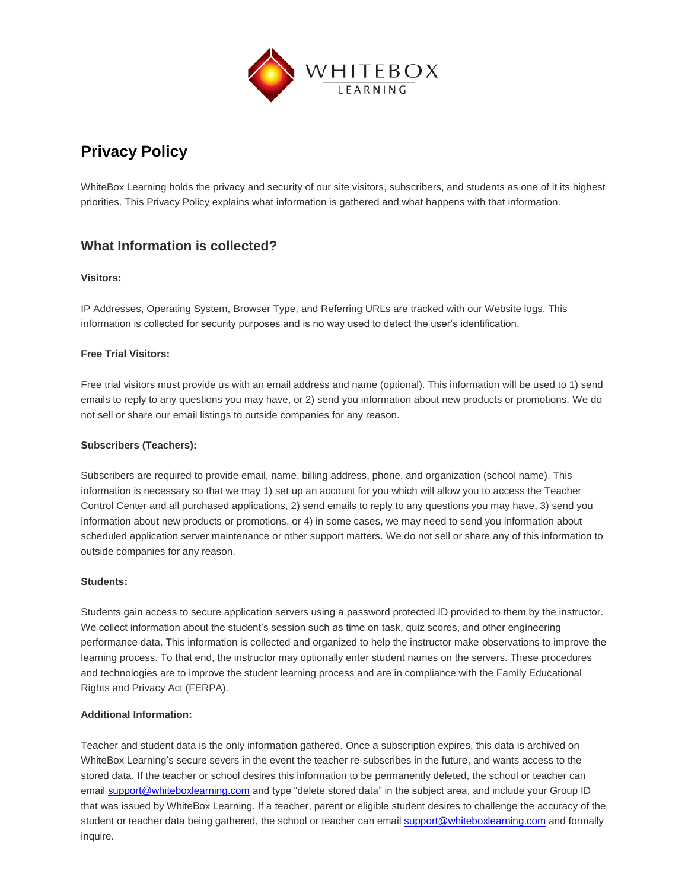

# **Privacy Policy**

WhiteBox Learning holds the privacy and security of our site visitors, subscribers, and students as one of it its highest priorities. This Privacy Policy explains what information is gathered and what happens with that information.

## **What Information is collected?**

#### **Visitors:**

IP Addresses, Operating System, Browser Type, and Referring URLs are tracked with our Website logs. This information is collected for security purposes and is no way used to detect the user's identification.

#### **Free Trial Visitors:**

Free trial visitors must provide us with an email address and name (optional). This information will be used to 1) send emails to reply to any questions you may have, or 2) send you information about new products or promotions. We do not sell or share our email listings to outside companies for any reason.

#### **Subscribers (Teachers):**

Subscribers are required to provide email, name, billing address, phone, and organization (school name). This information is necessary so that we may 1) set up an account for you which will allow you to access the Teacher Control Center and all purchased applications, 2) send emails to reply to any questions you may have, 3) send you information about new products or promotions, or 4) in some cases, we may need to send you information about scheduled application server maintenance or other support matters. We do not sell or share any of this information to outside companies for any reason.

#### **Students:**

Students gain access to secure application servers using a password protected ID provided to them by the instructor. We collect information about the student's session such as time on task, quiz scores, and other engineering performance data. This information is collected and organized to help the instructor make observations to improve the learning process. To that end, the instructor may optionally enter student names on the servers. These procedures and technologies are to improve the student learning process and are in compliance with the Family Educational Rights and Privacy Act (FERPA).

#### **Additional Information:**

Teacher and student data is the only information gathered. Once a subscription expires, this data is archived on WhiteBox Learning's secure severs in the event the teacher re-subscribes in the future, and wants access to the stored data. If the teacher or school desires this information to be permanently deleted, the school or teacher can email [support@whiteboxlearning.com](mailto:support@whiteboxlearning.com) and type "delete stored data" in the subject area, and include your Group ID that was issued by WhiteBox Learning. If a teacher, parent or eligible student desires to challenge the accuracy of the student or teacher data being gathered, the school or teacher can emai[l support@whiteboxlearning.com](mailto:support@whiteboxlearning.com) and formally inquire.